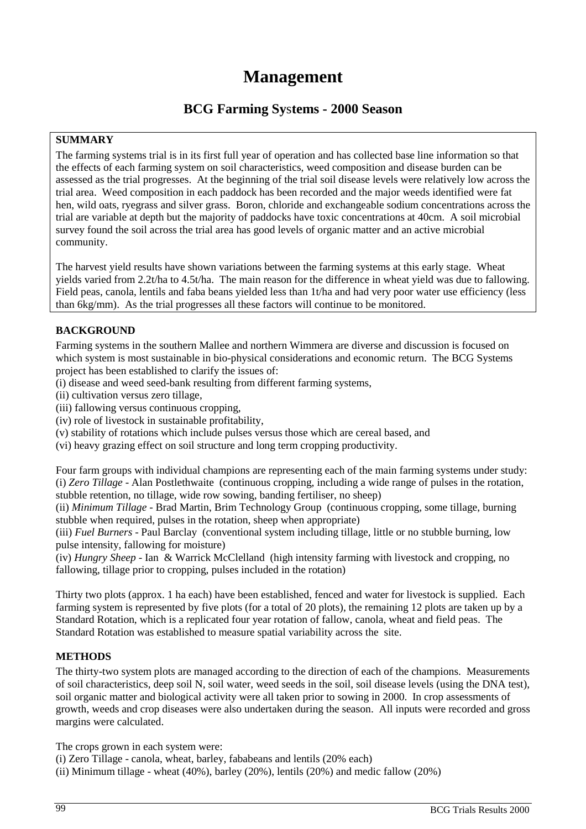# **Management**

# **BCG Farming Sy**s**tems - 2000 Season**

# **SUMMARY**

The farming systems trial is in its first full year of operation and has collected base line information so that the effects of each farming system on soil characteristics, weed composition and disease burden can be assessed as the trial progresses. At the beginning of the trial soil disease levels were relatively low across the trial area. Weed composition in each paddock has been recorded and the major weeds identified were fat hen, wild oats, ryegrass and silver grass. Boron, chloride and exchangeable sodium concentrations across the trial are variable at depth but the majority of paddocks have toxic concentrations at 40cm. A soil microbial survey found the soil across the trial area has good levels of organic matter and an active microbial community.

The harvest yield results have shown variations between the farming systems at this early stage. Wheat yields varied from 2.2t/ha to 4.5t/ha. The main reason for the difference in wheat yield was due to fallowing. Field peas, canola, lentils and faba beans yielded less than 1t/ha and had very poor water use efficiency (less than 6kg/mm). As the trial progresses all these factors will continue to be monitored.

### **BACKGROUND**

Farming systems in the southern Mallee and northern Wimmera are diverse and discussion is focused on which system is most sustainable in bio-physical considerations and economic return. The BCG Systems project has been established to clarify the issues of:

- (i) disease and weed seed-bank resulting from different farming systems,
- (ii) cultivation versus zero tillage,
- (iii) fallowing versus continuous cropping,
- (iv) role of livestock in sustainable profitability,
- (v) stability of rotations which include pulses versus those which are cereal based, and
- (vi) heavy grazing effect on soil structure and long term cropping productivity.

Four farm groups with individual champions are representing each of the main farming systems under study: (i) *Zero Tillage* - Alan Postlethwaite (continuous cropping, including a wide range of pulses in the rotation, stubble retention, no tillage, wide row sowing, banding fertiliser, no sheep)

(ii) *Minimum Tillage* - Brad Martin, Brim Technology Group (continuous cropping, some tillage, burning stubble when required, pulses in the rotation, sheep when appropriate)

(iii) *Fuel Burners* - Paul Barclay (conventional system including tillage, little or no stubble burning, low pulse intensity, fallowing for moisture)

(iv) *Hungry Sheep* - Ian & Warrick McClelland (high intensity farming with livestock and cropping, no fallowing, tillage prior to cropping, pulses included in the rotation)

Thirty two plots (approx. 1 ha each) have been established, fenced and water for livestock is supplied. Each farming system is represented by five plots (for a total of 20 plots), the remaining 12 plots are taken up by a Standard Rotation, which is a replicated four year rotation of fallow, canola, wheat and field peas. The Standard Rotation was established to measure spatial variability across the site.

# **METHODS**

The thirty-two system plots are managed according to the direction of each of the champions. Measurements of soil characteristics, deep soil N, soil water, weed seeds in the soil, soil disease levels (using the DNA test), soil organic matter and biological activity were all taken prior to sowing in 2000. In crop assessments of growth, weeds and crop diseases were also undertaken during the season. All inputs were recorded and gross margins were calculated.

The crops grown in each system were:

(i) Zero Tillage - canola, wheat, barley, fababeans and lentils (20% each)

(ii) Minimum tillage - wheat (40%), barley (20%), lentils (20%) and medic fallow (20%)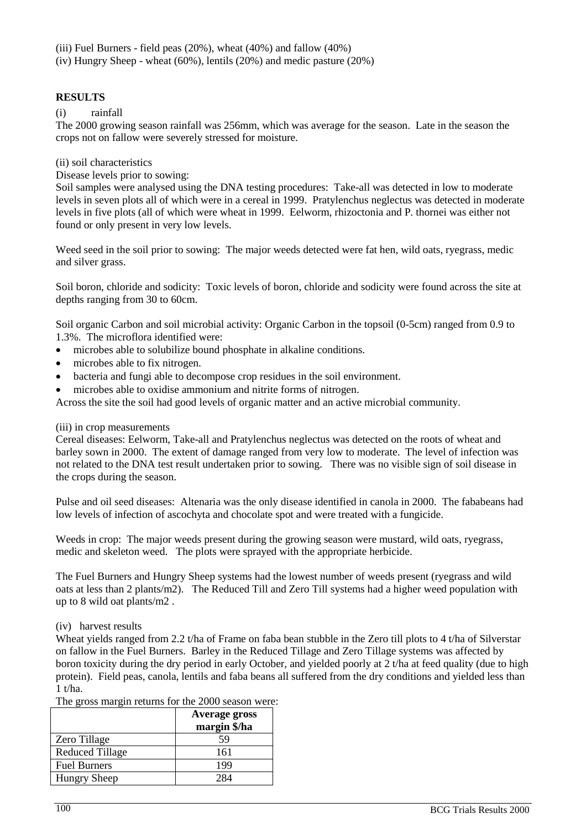(iii) Fuel Burners - field peas (20%), wheat (40%) and fallow (40%)

(iv) Hungry Sheep - wheat (60%), lentils (20%) and medic pasture (20%)

### **RESULTS**

(i) rainfall

The 2000 growing season rainfall was 256mm, which was average for the season. Late in the season the crops not on fallow were severely stressed for moisture.

#### (ii) soil characteristics

Disease levels prior to sowing:

Soil samples were analysed using the DNA testing procedures: Take-all was detected in low to moderate levels in seven plots all of which were in a cereal in 1999. Pratylenchus neglectus was detected in moderate levels in five plots (all of which were wheat in 1999. Eelworm, rhizoctonia and P. thornei was either not found or only present in very low levels.

Weed seed in the soil prior to sowing: The major weeds detected were fat hen, wild oats, ryegrass, medic and silver grass.

Soil boron, chloride and sodicity: Toxic levels of boron, chloride and sodicity were found across the site at depths ranging from 30 to 60cm.

Soil organic Carbon and soil microbial activity: Organic Carbon in the topsoil (0-5cm) ranged from 0.9 to 1.3%. The microflora identified were:

- microbes able to solubilize bound phosphate in alkaline conditions.
- microbes able to fix nitrogen.
- bacteria and fungi able to decompose crop residues in the soil environment.
- microbes able to oxidise ammonium and nitrite forms of nitrogen.

Across the site the soil had good levels of organic matter and an active microbial community.

#### (iii) in crop measurements

Cereal diseases: Eelworm, Take-all and Pratylenchus neglectus was detected on the roots of wheat and barley sown in 2000. The extent of damage ranged from very low to moderate. The level of infection was not related to the DNA test result undertaken prior to sowing. There was no visible sign of soil disease in the crops during the season.

Pulse and oil seed diseases: Altenaria was the only disease identified in canola in 2000. The fababeans had low levels of infection of ascochyta and chocolate spot and were treated with a fungicide.

Weeds in crop: The major weeds present during the growing season were mustard, wild oats, ryegrass, medic and skeleton weed. The plots were sprayed with the appropriate herbicide.

The Fuel Burners and Hungry Sheep systems had the lowest number of weeds present (ryegrass and wild oats at less than 2 plants/m2). The Reduced Till and Zero Till systems had a higher weed population with up to 8 wild oat plants/m2 .

#### (iv) harvest results

Wheat yields ranged from 2.2 t/ha of Frame on faba bean stubble in the Zero till plots to 4 t/ha of Silverstar on fallow in the Fuel Burners. Barley in the Reduced Tillage and Zero Tillage systems was affected by boron toxicity during the dry period in early October, and yielded poorly at 2 t/ha at feed quality (due to high protein). Field peas, canola, lentils and faba beans all suffered from the dry conditions and yielded less than  $1$  t/ha.

|                        | <b>Average gross</b><br>margin \$/ha |
|------------------------|--------------------------------------|
| Zero Tillage           | 59                                   |
| <b>Reduced Tillage</b> | 161                                  |
| <b>Fuel Burners</b>    | 199                                  |
| <b>Hungry Sheep</b>    |                                      |

The gross margin returns for the 2000 season were: